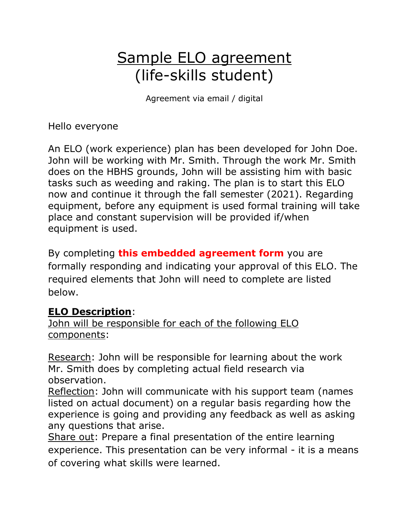## Sample ELO agreement (life-skills student)

Agreement via email / digital

Hello everyone

An ELO (work experience) plan has been developed for John Doe. John will be working with Mr. Smith. Through the work Mr. Smith does on the HBHS grounds, John will be assisting him with basic tasks such as weeding and raking. The plan is to start this ELO now and continue it through the fall semester (2021). Regarding equipment, before any equipment is used formal training will take place and constant supervision will be provided if/when equipment is used.

By completin[g](https://docs.google.com/forms/d/e/1FAIpQLSc4F36HEOPR7FZzWf2zoCgwXmivrvOXRKYffphJfheuDiZwxw/viewform) **this embedded agreement form** you are formally responding and indicating your approval of this ELO. The required elements that John will need to complete are listed below.

## **ELO Description**:

John will be responsible for each of the following ELO components:

Research: John will be responsible for learning about the work Mr. Smith does by completing actual field research via observation.

Reflection: John will communicate with his support team (names listed on actual document) on a regular basis regarding how the experience is going and providing any feedback as well as asking any questions that arise.

Share out: Prepare a final presentation of the entire learning experience. This presentation can be very informal - it is a means of covering what skills were learned.